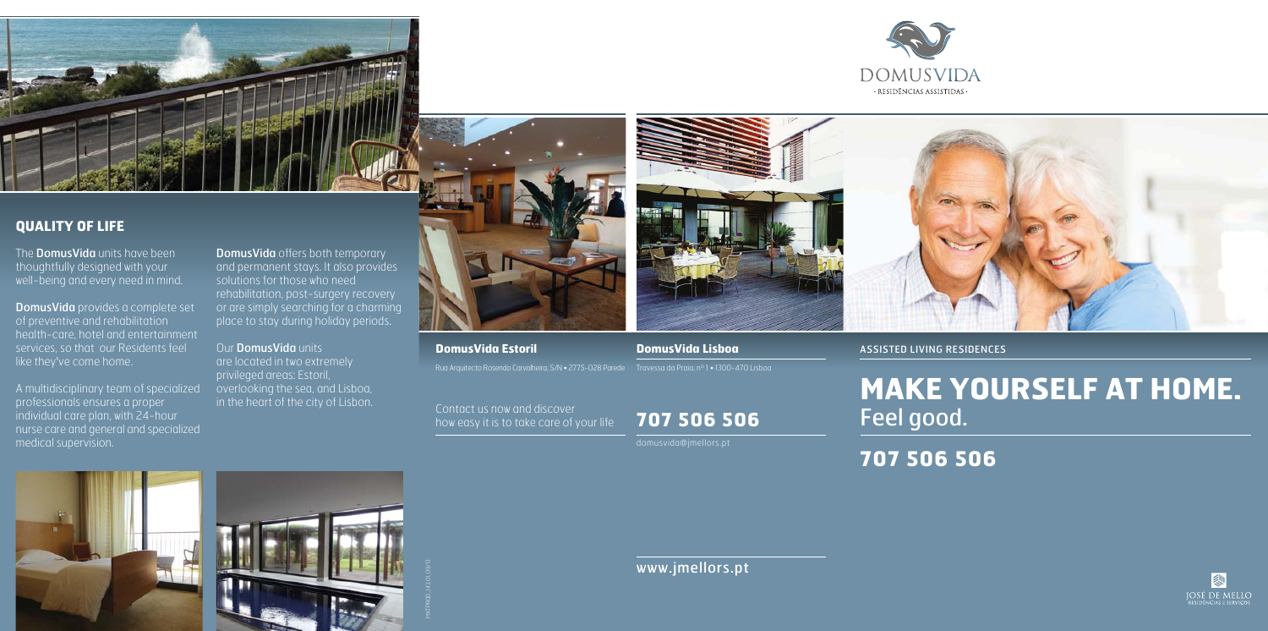# **707 506 506**

Contact us now and discover how easy it is to take care of your life



### **DomusVida Estoril DomusVida Lisboa**

# www.jmellors.pt





The **DomusVida** units have been thoughtfully designed with your well-being and every need in mind.

domusvida@jmellors.pt







MKTPROD\_143.01\_09/13

ASSISTED LIVING RESIDENCES

**707 506 506**



# **MAKE YOURSELF AT HOME.** Feel good.



# **QUALITY OF LIFE**

DomusVida provides a complete set of preventive and rehabilitation health-care, hotel and entertainment services, so that our Residents feel like they've come home.

A multidisciplinary team of specialized professionals ensures a proper individual care plan, with 24-hour nurse care and general and specialized medical supervision.

DomusVida offers both temporary and permanent stays. It also provides solutions for those who need rehabilitation, post-surgery recovery or are simply searching for a charming place to stay during holiday periods.

### Our DomusVida units

are located in two extremely privileged areas: Estoril, overlooking the sea, and Lisboa, in the heart of the city of Lisbon.